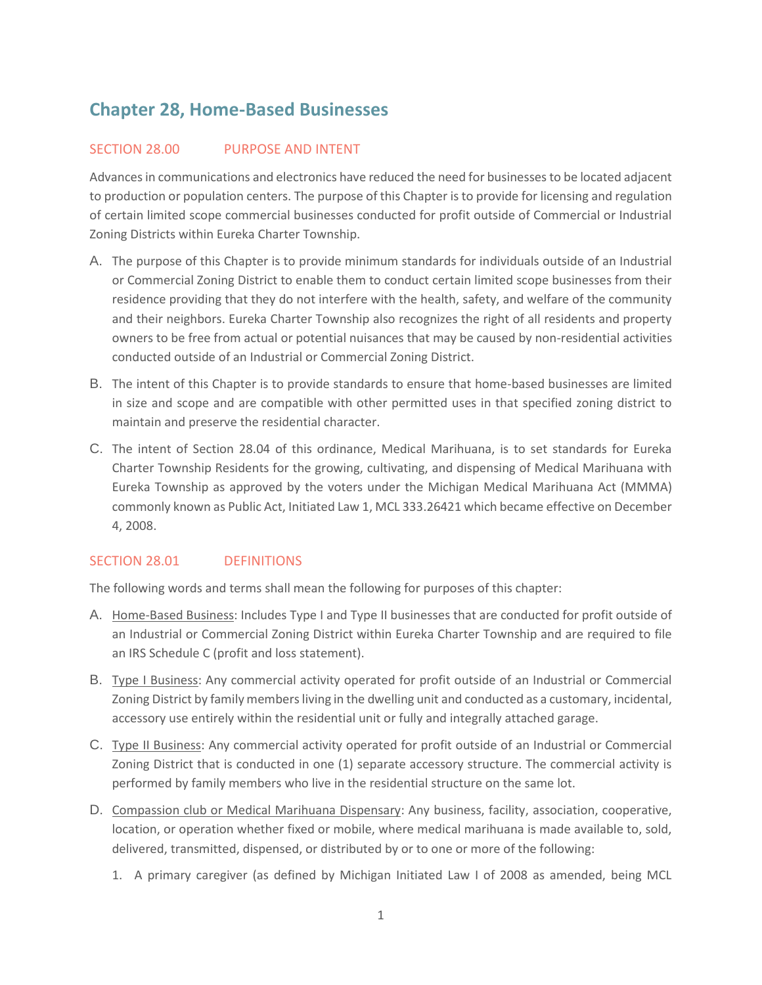# **Chapter 28, Home-Based Businesses**

## SECTION 28.00 PURPOSE AND INTENT

Advances in communications and electronics have reduced the need for businesses to be located adjacent to production or population centers. The purpose of this Chapter is to provide for licensing and regulation of certain limited scope commercial businesses conducted for profit outside of Commercial or Industrial Zoning Districts within Eureka Charter Township.

- A. The purpose of this Chapter is to provide minimum standards for individuals outside of an Industrial or Commercial Zoning District to enable them to conduct certain limited scope businesses from their residence providing that they do not interfere with the health, safety, and welfare of the community and their neighbors. Eureka Charter Township also recognizes the right of all residents and property owners to be free from actual or potential nuisances that may be caused by non-residential activities conducted outside of an Industrial or Commercial Zoning District.
- B. The intent of this Chapter is to provide standards to ensure that home-based businesses are limited in size and scope and are compatible with other permitted uses in that specified zoning district to maintain and preserve the residential character.
- C. The intent of Section 28.04 of this ordinance, Medical Marihuana, is to set standards for Eureka Charter Township Residents for the growing, cultivating, and dispensing of Medical Marihuana with Eureka Township as approved by the voters under the Michigan Medical Marihuana Act (MMMA) commonly known as Public Act, Initiated Law 1, MCL 333.26421 which became effective on December 4, 2008.

## SECTION 28.01 DEFINITIONS

The following words and terms shall mean the following for purposes of this chapter:

- A. Home-Based Business: Includes Type I and Type II businesses that are conducted for profit outside of an Industrial or Commercial Zoning District within Eureka Charter Township and are required to file an IRS Schedule C (profit and loss statement).
- B. Type I Business: Any commercial activity operated for profit outside of an Industrial or Commercial Zoning District by family members living in the dwelling unit and conducted as a customary, incidental, accessory use entirely within the residential unit or fully and integrally attached garage.
- C. Type II Business: Any commercial activity operated for profit outside of an Industrial or Commercial Zoning District that is conducted in one (1) separate accessory structure. The commercial activity is performed by family members who live in the residential structure on the same lot.
- D. Compassion club or Medical Marihuana Dispensary: Any business, facility, association, cooperative, location, or operation whether fixed or mobile, where medical marihuana is made available to, sold, delivered, transmitted, dispensed, or distributed by or to one or more of the following:
	- 1. A primary caregiver (as defined by Michigan Initiated Law I of 2008 as amended, being MCL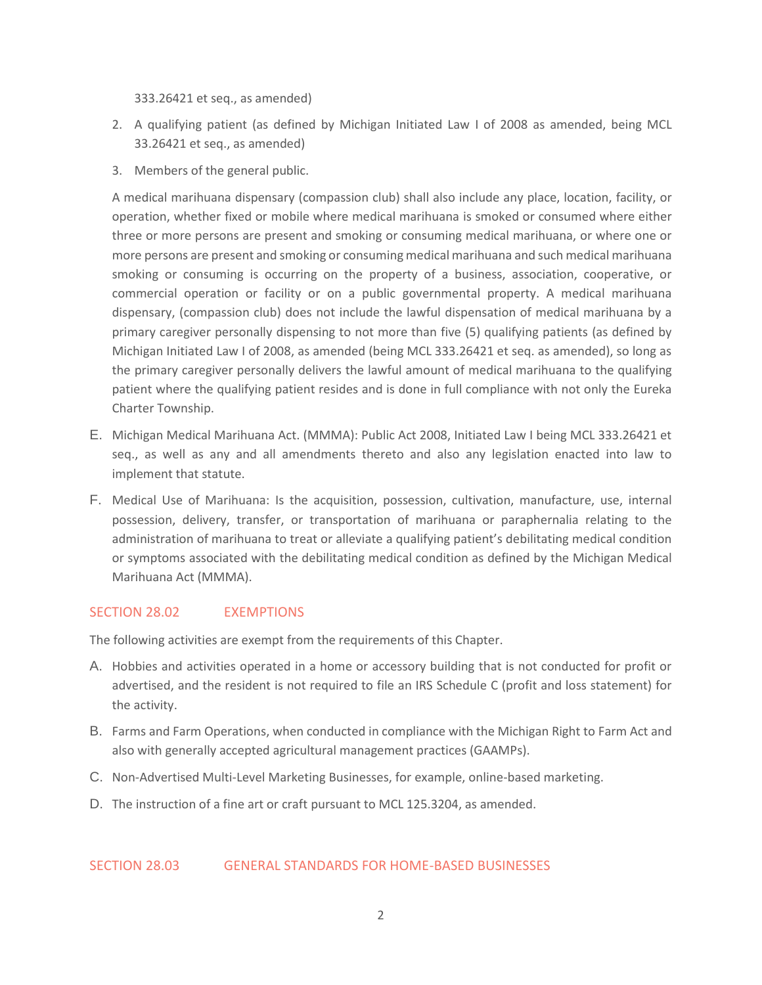333.26421 et seq., as amended)

- 2. A qualifying patient (as defined by Michigan Initiated Law I of 2008 as amended, being MCL 33.26421 et seq., as amended)
- 3. Members of the general public.

A medical marihuana dispensary (compassion club) shall also include any place, location, facility, or operation, whether fixed or mobile where medical marihuana is smoked or consumed where either three or more persons are present and smoking or consuming medical marihuana, or where one or more persons are present and smoking or consuming medical marihuana and such medical marihuana smoking or consuming is occurring on the property of a business, association, cooperative, or commercial operation or facility or on a public governmental property. A medical marihuana dispensary, (compassion club) does not include the lawful dispensation of medical marihuana by a primary caregiver personally dispensing to not more than five (5) qualifying patients (as defined by Michigan Initiated Law I of 2008, as amended (being MCL 333.26421 et seq. as amended), so long as the primary caregiver personally delivers the lawful amount of medical marihuana to the qualifying patient where the qualifying patient resides and is done in full compliance with not only the Eureka Charter Township.

- E. Michigan Medical Marihuana Act. (MMMA): Public Act 2008, Initiated Law I being MCL 333.26421 et seq., as well as any and all amendments thereto and also any legislation enacted into law to implement that statute.
- F. Medical Use of Marihuana: Is the acquisition, possession, cultivation, manufacture, use, internal possession, delivery, transfer, or transportation of marihuana or paraphernalia relating to the administration of marihuana to treat or alleviate a qualifying patient's debilitating medical condition or symptoms associated with the debilitating medical condition as defined by the Michigan Medical Marihuana Act (MMMA).

## SECTION 28.02 **EXEMPTIONS**

The following activities are exempt from the requirements of this Chapter.

- A. Hobbies and activities operated in a home or accessory building that is not conducted for profit or advertised, and the resident is not required to file an IRS Schedule C (profit and loss statement) for the activity.
- B. Farms and Farm Operations, when conducted in compliance with the Michigan Right to Farm Act and also with generally accepted agricultural management practices (GAAMPs).
- C. Non-Advertised Multi-Level Marketing Businesses, for example, online-based marketing.
- D. The instruction of a fine art or craft pursuant to MCL 125.3204, as amended.

#### SECTION 28.03 GENERAL STANDARDS FOR HOME-BASED BUSINESSES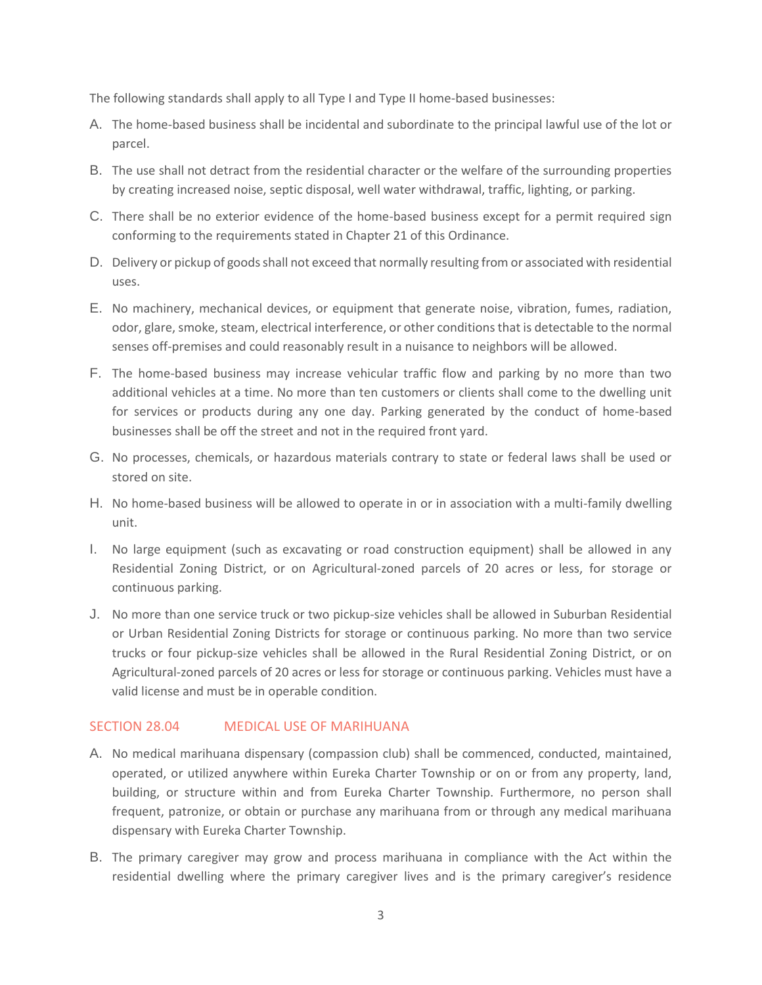The following standards shall apply to all Type I and Type II home-based businesses:

- A. The home-based business shall be incidental and subordinate to the principal lawful use of the lot or parcel.
- B. The use shall not detract from the residential character or the welfare of the surrounding properties by creating increased noise, septic disposal, well water withdrawal, traffic, lighting, or parking.
- C. There shall be no exterior evidence of the home-based business except for a permit required sign conforming to the requirements stated in Chapter 21 of this Ordinance.
- D. Delivery or pickup of goods shall not exceed that normally resulting from or associated with residential uses.
- E. No machinery, mechanical devices, or equipment that generate noise, vibration, fumes, radiation, odor, glare, smoke, steam, electrical interference, or other conditions that is detectable to the normal senses off-premises and could reasonably result in a nuisance to neighbors will be allowed.
- F. The home-based business may increase vehicular traffic flow and parking by no more than two additional vehicles at a time. No more than ten customers or clients shall come to the dwelling unit for services or products during any one day. Parking generated by the conduct of home-based businesses shall be off the street and not in the required front yard.
- G. No processes, chemicals, or hazardous materials contrary to state or federal laws shall be used or stored on site.
- H. No home-based business will be allowed to operate in or in association with a multi-family dwelling unit.
- I. No large equipment (such as excavating or road construction equipment) shall be allowed in any Residential Zoning District, or on Agricultural-zoned parcels of 20 acres or less, for storage or continuous parking.
- J. No more than one service truck or two pickup-size vehicles shall be allowed in Suburban Residential or Urban Residential Zoning Districts for storage or continuous parking. No more than two service trucks or four pickup-size vehicles shall be allowed in the Rural Residential Zoning District, or on Agricultural-zoned parcels of 20 acres or less for storage or continuous parking. Vehicles must have a valid license and must be in operable condition.

#### SECTION 28.04 MEDICAL USE OF MARIHUANA

- A. No medical marihuana dispensary (compassion club) shall be commenced, conducted, maintained, operated, or utilized anywhere within Eureka Charter Township or on or from any property, land, building, or structure within and from Eureka Charter Township. Furthermore, no person shall frequent, patronize, or obtain or purchase any marihuana from or through any medical marihuana dispensary with Eureka Charter Township.
- B. The primary caregiver may grow and process marihuana in compliance with the Act within the residential dwelling where the primary caregiver lives and is the primary caregiver's residence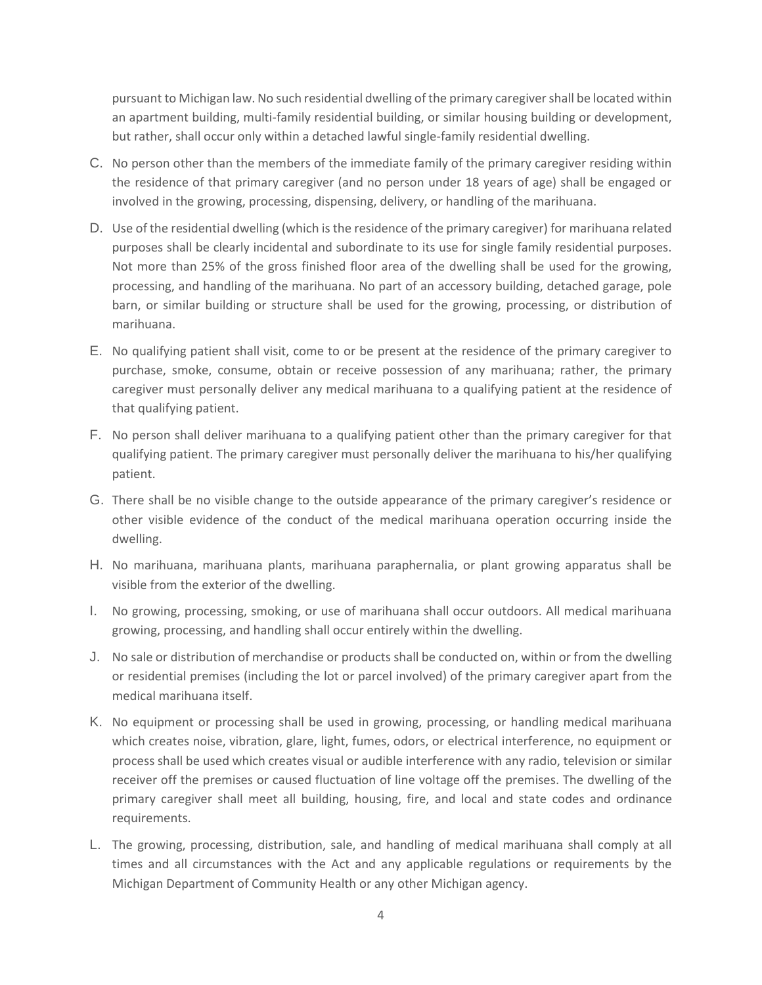pursuant to Michigan law. No such residential dwelling of the primary caregiver shall be located within an apartment building, multi-family residential building, or similar housing building or development, but rather, shall occur only within a detached lawful single-family residential dwelling.

- C. No person other than the members of the immediate family of the primary caregiver residing within the residence of that primary caregiver (and no person under 18 years of age) shall be engaged or involved in the growing, processing, dispensing, delivery, or handling of the marihuana.
- D. Use of the residential dwelling (which is the residence of the primary caregiver) for marihuana related purposes shall be clearly incidental and subordinate to its use for single family residential purposes. Not more than 25% of the gross finished floor area of the dwelling shall be used for the growing, processing, and handling of the marihuana. No part of an accessory building, detached garage, pole barn, or similar building or structure shall be used for the growing, processing, or distribution of marihuana.
- E. No qualifying patient shall visit, come to or be present at the residence of the primary caregiver to purchase, smoke, consume, obtain or receive possession of any marihuana; rather, the primary caregiver must personally deliver any medical marihuana to a qualifying patient at the residence of that qualifying patient.
- F. No person shall deliver marihuana to a qualifying patient other than the primary caregiver for that qualifying patient. The primary caregiver must personally deliver the marihuana to his/her qualifying patient.
- G. There shall be no visible change to the outside appearance of the primary caregiver's residence or other visible evidence of the conduct of the medical marihuana operation occurring inside the dwelling.
- H. No marihuana, marihuana plants, marihuana paraphernalia, or plant growing apparatus shall be visible from the exterior of the dwelling.
- I. No growing, processing, smoking, or use of marihuana shall occur outdoors. All medical marihuana growing, processing, and handling shall occur entirely within the dwelling.
- J. No sale or distribution of merchandise or products shall be conducted on, within or from the dwelling or residential premises (including the lot or parcel involved) of the primary caregiver apart from the medical marihuana itself.
- K. No equipment or processing shall be used in growing, processing, or handling medical marihuana which creates noise, vibration, glare, light, fumes, odors, or electrical interference, no equipment or process shall be used which creates visual or audible interference with any radio, television or similar receiver off the premises or caused fluctuation of line voltage off the premises. The dwelling of the primary caregiver shall meet all building, housing, fire, and local and state codes and ordinance requirements.
- L. The growing, processing, distribution, sale, and handling of medical marihuana shall comply at all times and all circumstances with the Act and any applicable regulations or requirements by the Michigan Department of Community Health or any other Michigan agency.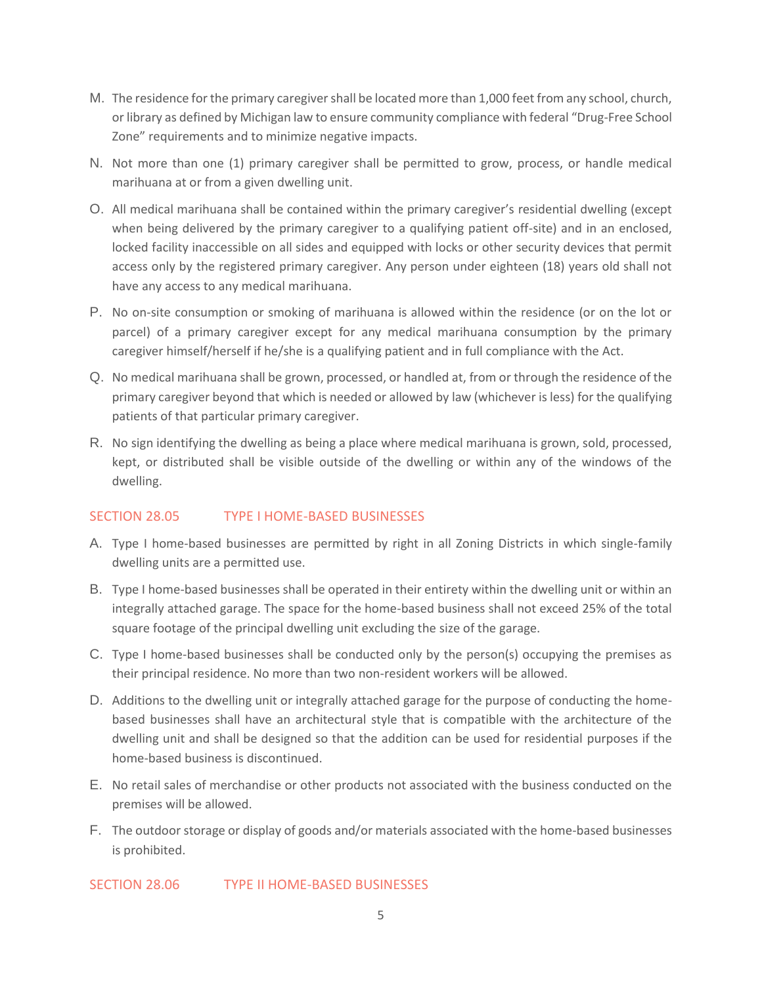- M. The residence for the primary caregiver shall be located more than 1,000 feet from any school, church, or library as defined by Michigan law to ensure community compliance with federal "Drug-Free School Zone" requirements and to minimize negative impacts.
- N. Not more than one (1) primary caregiver shall be permitted to grow, process, or handle medical marihuana at or from a given dwelling unit.
- O. All medical marihuana shall be contained within the primary caregiver's residential dwelling (except when being delivered by the primary caregiver to a qualifying patient off-site) and in an enclosed, locked facility inaccessible on all sides and equipped with locks or other security devices that permit access only by the registered primary caregiver. Any person under eighteen (18) years old shall not have any access to any medical marihuana.
- P. No on-site consumption or smoking of marihuana is allowed within the residence (or on the lot or parcel) of a primary caregiver except for any medical marihuana consumption by the primary caregiver himself/herself if he/she is a qualifying patient and in full compliance with the Act.
- Q. No medical marihuana shall be grown, processed, or handled at, from or through the residence of the primary caregiver beyond that which is needed or allowed by law (whichever is less) for the qualifying patients of that particular primary caregiver.
- R. No sign identifying the dwelling as being a place where medical marihuana is grown, sold, processed, kept, or distributed shall be visible outside of the dwelling or within any of the windows of the dwelling.

## SECTION 28.05 TYPE I HOME-BASED BUSINESSES

- A. Type I home-based businesses are permitted by right in all Zoning Districts in which single-family dwelling units are a permitted use.
- B. Type I home-based businesses shall be operated in their entirety within the dwelling unit or within an integrally attached garage. The space for the home-based business shall not exceed 25% of the total square footage of the principal dwelling unit excluding the size of the garage.
- C. Type I home-based businesses shall be conducted only by the person(s) occupying the premises as their principal residence. No more than two non-resident workers will be allowed.
- D. Additions to the dwelling unit or integrally attached garage for the purpose of conducting the homebased businesses shall have an architectural style that is compatible with the architecture of the dwelling unit and shall be designed so that the addition can be used for residential purposes if the home-based business is discontinued.
- E. No retail sales of merchandise or other products not associated with the business conducted on the premises will be allowed.
- F. The outdoor storage or display of goods and/or materials associated with the home-based businesses is prohibited.

SECTION 28.06 TYPE II HOME-BASED BUSINESSES